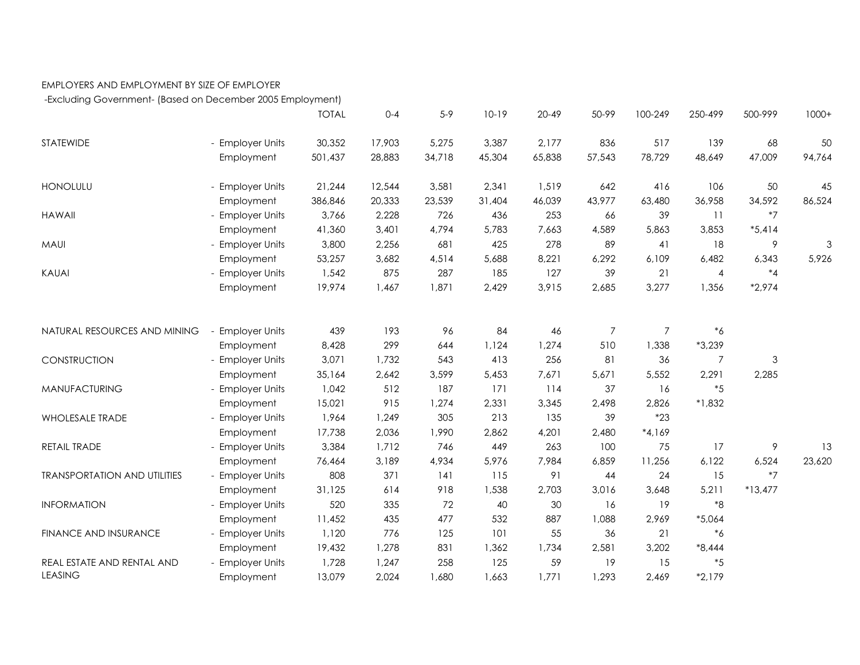## EMPLOYERS AND EMPLOYMENT BY SIZE OF EMPLOYER

-Excluding Government- (Based on December 2005 Employment)

|                                     |                       | <b>TOTAL</b> | $0 - 4$ | $5-9$  | $10-19$ | $20 - 49$ | 50-99          | 100-249        | 250-499         | 500-999        | $1000+$ |
|-------------------------------------|-----------------------|--------------|---------|--------|---------|-----------|----------------|----------------|-----------------|----------------|---------|
| <b>STATEWIDE</b>                    | - Employer Units      | 30,352       | 17,903  | 5,275  | 3,387   | 2.177     | 836            | 517            | 139             | 68             | 50      |
|                                     | Employment            | 501,437      | 28,883  | 34,718 | 45,304  | 65,838    | 57,543         | 78,729         | 48,649          | 47,009         | 94,764  |
| <b>HONOLULU</b>                     | - Employer Units      | 21,244       | 12,544  | 3,581  | 2,341   | 1,519     | 642            | 416            | 106             | 50             | 45      |
|                                     | Employment            | 386,846      | 20,333  | 23,539 | 31,404  | 46,039    | 43,977         | 63,480         | 36,958          | 34,592         | 86,524  |
| <b>HAWAII</b>                       | - Employer Units      | 3,766        | 2,228   | 726    | 436     | 253       | 66             | 39             | $\overline{11}$ | $*7$           |         |
|                                     | Employment            | 41,360       | 3,401   | 4,794  | 5,783   | 7,663     | 4,589          | 5,863          | 3,853           | $*5,414$       |         |
| <b>MAUI</b>                         | - Employer Units      | 3,800        | 2,256   | 681    | 425     | 278       | 89             | 41             | 18              | 9              | 3       |
|                                     | Employment            | 53,257       | 3,682   | 4,514  | 5,688   | 8,221     | 6,292          | 6,109          | 6,482           | 6,343          | 5,926   |
| KAUAI                               | - Employer Units      | 1,542        | 875     | 287    | 185     | 127       | 39             | 21             | $\overline{4}$  | $^{\ast}4$     |         |
|                                     | Employment            | 19,974       | 1,467   | 1,871  | 2,429   | 3,915     | 2,685          | 3,277          | 1,356           | $*2,974$       |         |
|                                     |                       |              |         |        |         |           |                |                |                 |                |         |
| NATURAL RESOURCES AND MINING        | <b>Employer Units</b> | 439          | 193     | 96     | 84      | 46        | $\overline{7}$ | $\overline{7}$ | $^{\ast}6$      |                |         |
|                                     | Employment            | 8,428        | 299     | 644    | 1,124   | 1,274     | 510            | 1,338          | $*3,239$        |                |         |
| CONSTRUCTION                        | - Employer Units      | 3,071        | 1,732   | 543    | 413     | 256       | 81             | 36             | $\overline{7}$  | $\mathfrak{Z}$ |         |
|                                     | Employment            | 35,164       | 2,642   | 3,599  | 5,453   | 7,671     | 5,671          | 5,552          | 2,291           | 2,285          |         |
| <b>MANUFACTURING</b>                | - Employer Units      | 1,042        | 512     | 187    | 171     | 114       | 37             | 16             | $*5$            |                |         |
|                                     | Employment            | 15,021       | 915     | 1,274  | 2,331   | 3,345     | 2,498          | 2,826          | $*1,832$        |                |         |
| WHOLESALE TRADE                     | - Employer Units      | 1,964        | 1,249   | 305    | 213     | 135       | 39             | $*23$          |                 |                |         |
|                                     | Employment            | 17,738       | 2,036   | 1,990  | 2,862   | 4,201     | 2,480          | $*4,169$       |                 |                |         |
| RETAIL TRADE                        | - Employer Units      | 3,384        | 1,712   | 746    | 449     | 263       | 100            | 75             | 17              | $\overline{9}$ | 13      |
|                                     | Employment            | 76,464       | 3,189   | 4,934  | 5,976   | 7,984     | 6,859          | 11,256         | 6,122           | 6,524          | 23,620  |
| <b>TRANSPORTATION AND UTILITIES</b> | - Employer Units      | 808          | 371     | 141    | 115     | 91        | 44             | 24             | 15              | $*7$           |         |
|                                     | Employment            | 31,125       | 614     | 918    | 1,538   | 2,703     | 3,016          | 3,648          | 5,211           | $*13,477$      |         |
| <b>INFORMATION</b>                  | - Employer Units      | 520          | 335     | 72     | 40      | 30        | 16             | 19             | $*8$            |                |         |
|                                     | Employment            | 11,452       | 435     | 477    | 532     | 887       | 1,088          | 2,969          | $*5,064$        |                |         |
| FINANCE AND INSURANCE               | - Employer Units      | 1,120        | 776     | 125    | 101     | 55        | 36             | 21             | $^*6$           |                |         |
|                                     | Employment            | 19,432       | 1,278   | 831    | 1,362   | 1,734     | 2,581          | 3,202          | $*8,444$        |                |         |
| REAL ESTATE AND RENTAL AND          | - Employer Units      | 1,728        | 1,247   | 258    | 125     | 59        | 19             | 15             | $*5$            |                |         |
| <b>LEASING</b>                      | Employment            | 13,079       | 2,024   | 1,680  | 1,663   | 1,771     | 1,293          | 2,469          | $*2,179$        |                |         |